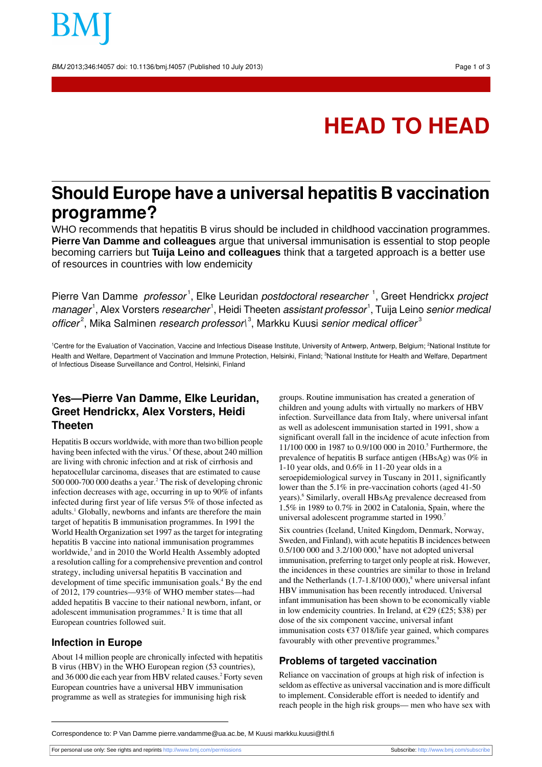BMJ 2013;346:f4057 doi: 10.1136/bmj.f4057 (Published 10 July 2013) Page 1 of 3

# **HEAD TO HEAD**

## **Should Europe have a universal hepatitis B vaccination programme?**

WHO recommends that hepatitis B virus should be included in childhood vaccination programmes. **Pierre Van Damme and colleagues** argue that universal immunisation is essential to stop people becoming carriers but **Tuija Leino and colleagues** think that a targeted approach is a better use of resources in countries with low endemicity

Pierre Van Damme *professor*<sup>1</sup>, Elke Leuridan *postdoctoral researcher*<sup>1</sup>, Greet Hendrickx *project* manager<sup>1</sup>, Alex Vorsters *researcher<sup>1</sup>, Heidi Theeten assistant professor<sup>1</sup>, Tuija Leino <i>senior medical* officer<sup>2</sup>, Mika Salminen research professor\<sup>3</sup>, Markku Kuusi senior medical officer<sup>3</sup>

<sup>1</sup>Centre for the Evaluation of Vaccination, Vaccine and Infectious Disease Institute, University of Antwerp, Antwerp, Belgium; <sup>2</sup>National Institute for Health and Welfare, Department of Vaccination and Immune Protection, Helsinki, Finland; <sup>3</sup>National Institute for Health and Welfare, Department of Infectious Disease Surveillance and Control, Helsinki, Finland

### **Yes—Pierre Van Damme, Elke Leuridan, Greet Hendrickx, Alex Vorsters, Heidi Theeten**

Hepatitis B occurs worldwide, with more than two billion people having been infected with the virus.<sup>1</sup> Of these, about 240 million are living with chronic infection and at risk of cirrhosis and hepatocellular carcinoma, diseases that are estimated to cause 500 000-700 000 deaths a year.<sup>2</sup> The risk of developing chronic infection decreases with age, occurring in up to 90% of infants infected during first year of life versus 5% of those infected as adults.<sup>1</sup> Globally, newborns and infants are therefore the main target of hepatitis B immunisation programmes. In 1991 the World Health Organization set 1997 as the target for integrating hepatitis B vaccine into national immunisation programmes worldwide,<sup>3</sup> and in 2010 the World Health Assembly adopted a resolution calling for a comprehensive prevention and control strategy, including universal hepatitis B vaccination and development of time specific immunisation goals.<sup>4</sup> By the end of 2012, 179 countries—93% of WHO member states—had added hepatitis B vaccine to their national newborn, infant, or adolescent immunisation programmes.<sup>2</sup> It is time that all European countries followed suit.

#### **Infection in Europe**

About 14 million people are chronically infected with hepatitis B virus (HBV) in the WHO European region (53 countries), and 36 000 die each year from HBV related causes.<sup>2</sup> Forty seven European countries have a universal HBV immunisation programme as well as strategies for immunising high risk

groups. Routine immunisation has created a generation of children and young adults with virtually no markers of HBV infection. Surveillance data from Italy, where universal infant as well as adolescent immunisation started in 1991, show a significant overall fall in the incidence of acute infection from 11/100 000 in 1987 to 0.9/100 000 in 2010.<sup>5</sup> Furthermore, the prevalence of hepatitis B surface antigen (HBsAg) was 0% in 1-10 year olds, and 0.6% in 11-20 year olds in a seroepidemiological survey in Tuscany in 2011, significantly lower than the 5.1% in pre-vaccination cohorts (aged 41-50 years).<sup>6</sup> Similarly, overall HBsAg prevalence decreased from 1.5% in 1989 to 0.7% in 2002 in Catalonia, Spain, where the universal adolescent programme started in 1990.

Six countries (Iceland, United Kingdom, Denmark, Norway, Sweden, and Finland), with acute hepatitis B incidences between  $0.5/100000$  and  $3.2/100000$ ,<sup>8</sup> have not adopted universal immunisation, preferring to target only people at risk. However, the incidences in these countries are similar to those in Ireland and the Netherlands  $(1.7-1.8/100 000)$ ,<sup>8</sup> where universal infant HBV immunisation has been recently introduced. Universal infant immunisation has been shown to be economically viable in low endemicity countries. In Ireland, at  $\epsilon$ 29 (£25; \$38) per dose of the six component vaccine, universal infant immunisation costs €37 018/life year gained, which compares favourably with other preventive programmes.<sup>9</sup>

#### **Problems of targeted vaccination**

Reliance on vaccination of groups at high risk of infection is seldom as effective as universal vaccination and is more difficult to implement. Considerable effort is needed to identify and reach people in the high risk groups— men who have sex with

Correspondence to: P Van Damme pierre.vandamme@ua.ac.be, M Kuusi markku.kuusi@thl.fi

For personal use only: See rights and reprints<http://www.bmj.com/permissions> Subscribe: <http://www.bmj.com/subscribe>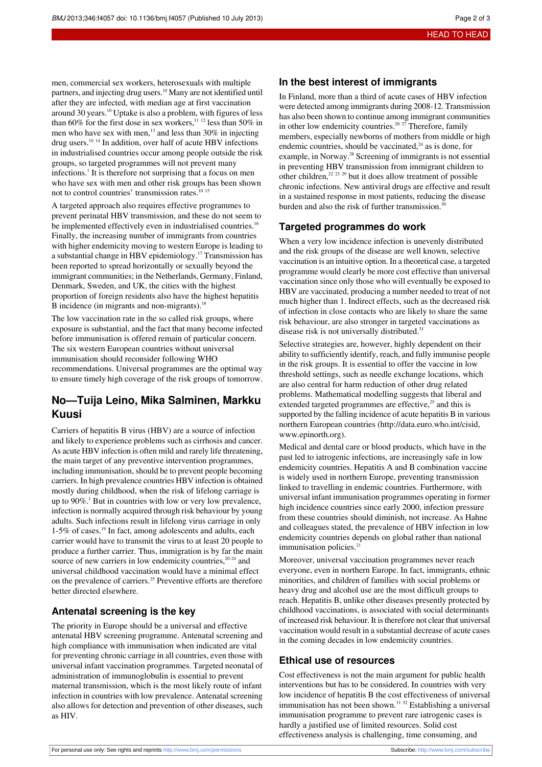men, commercial sex workers, heterosexuals with multiple partners, and injecting drug users.<sup>10</sup> Many are not identified until after they are infected, with median age at first vaccination around 30 years.<sup>10</sup> Uptake is also a problem, with figures of less than 60% for the first dose in sex workers,<sup>11 12</sup> less than 50% in men who have sex with men,<sup>13</sup> and less than 30% in injecting drug users.<sup>10</sup> <sup>14</sup> In addition, over half of acute HBV infections in industrialised countries occur among people outside the risk groups, so targeted programmes will not prevent many infections.<sup>1</sup> It is therefore not surprising that a focus on men who have sex with men and other risk groups has been shown not to control countries' transmission rates.<sup>10</sup><sup>15</sup>

A targeted approach also requires effective programmes to prevent perinatal HBV transmission, and these do not seem to be implemented effectively even in industrialised countries.<sup>16</sup> Finally, the increasing number of immigrants from countries with higher endemicity moving to western Europe is leading to a substantial change in HBV epidemiology.<sup>17</sup> Transmission has been reported to spread horizontally or sexually beyond the immigrant communities; in the Netherlands, Germany, Finland, Denmark, Sweden, and UK, the cities with the highest proportion of foreign residents also have the highest hepatitis B incidence (in migrants and non-migrants).<sup>18</sup>

The low vaccination rate in the so called risk groups, where exposure is substantial, and the fact that many become infected before immunisation is offered remain of particular concern. The six western European countries without universal immunisation should reconsider following WHO recommendations. Universal programmes are the optimal way to ensure timely high coverage of the risk groups of tomorrow.

#### **No—Tuija Leino, Mika Salminen, Markku Kuusi**

Carriers of hepatitis B virus (HBV) are a source of infection and likely to experience problems such as cirrhosis and cancer. As acute HBV infection is often mild and rarely life threatening, the main target of any preventive intervention programmes, including immunisation, should be to prevent people becoming carriers. In high prevalence countries HBV infection is obtained mostly during childhood, when the risk of lifelong carriage is up to  $90\%$ .<sup>1</sup> But in countries with low or very low prevalence, infection is normally acquired through risk behaviour by young adults. Such infections result in lifelong virus carriage in only 1-5% of cases.<sup>19</sup> In fact, among adolescents and adults, each carrier would have to transmit the virus to at least 20 people to produce a further carrier. Thus, immigration is by far the main source of new carriers in low endemicity countries, $20-24$  and universal childhood vaccination would have a minimal effect on the prevalence of carriers.<sup>25</sup> Preventive efforts are therefore better directed elsewhere.

#### **Antenatal screening is the key**

The priority in Europe should be a universal and effective antenatal HBV screening programme. Antenatal screening and high compliance with immunisation when indicated are vital for preventing chronic carriage in all countries, even those with universal infant vaccination programmes. Targeted neonatal of administration of immunoglobulin is essential to prevent maternal transmission, which is the most likely route of infant infection in countries with low prevalence. Antenatal screening also allows for detection and prevention of other diseases, such as HIV.

#### **In the best interest of immigrants**

In Finland, more than a third of acute cases of HBV infection were detected among immigrants during 2008-12. Transmission has also been shown to continue among immigrant communities in other low endemicity countries.<sup>26, 27</sup> Therefore, family members, especially newborns of mothers from middle or high endemic countries, should be vaccinated, $24$  as is done, for example, in Norway.<sup>28</sup> Screening of immigrants is not essential in preventing HBV transmission from immigrant children to other children, $^{22}$   $^{23}$   $^{29}$  but it does allow treatment of possible chronic infections. New antiviral drugs are effective and result in a sustained response in most patients, reducing the disease burden and also the risk of further transmission.<sup>30</sup>

#### **Targeted programmes do work**

When a very low incidence infection is unevenly distributed and the risk groups of the disease are well known, selective vaccination is an intuitive option. In a theoretical case, a targeted programme would clearly be more cost effective than universal vaccination since only those who will eventually be exposed to HBV are vaccinated, producing a number needed to treat of not much higher than 1. Indirect effects, such as the decreased risk of infection in close contacts who are likely to share the same risk behaviour, are also stronger in targeted vaccinations as disease risk is not universally distributed.<sup>31</sup>

Selective strategies are, however, highly dependent on their ability to sufficiently identify, reach, and fully immunise people in the risk groups. It is essential to offer the vaccine in low threshold settings, such as needle exchange locations, which are also central for harm reduction of other drug related problems. Mathematical modelling suggests that liberal and extended targeted programmes are effective, $25$  and this is supported by the falling incidence of acute hepatitis B in various northern European countries (<http://data.euro.who.int/cisid>, [www.epinorth.org\)](http://www.epinorth.org/).

Medical and dental care or blood products, which have in the past led to iatrogenic infections, are increasingly safe in low endemicity countries. Hepatitis A and B combination vaccine is widely used in northern Europe, preventing transmission linked to travelling in endemic countries. Furthermore, with universal infant immunisation programmes operating in former high incidence countries since early 2000, infection pressure from these countries should diminish, not increase. As Hahne and colleagues stated, the prevalence of HBV infection in low endemicity countries depends on global rather than national immunisation policies.<sup>2</sup>

Moreover, universal vaccination programmes never reach everyone, even in northern Europe. In fact, immigrants, ethnic minorities, and children of families with social problems or heavy drug and alcohol use are the most difficult groups to reach. Hepatitis B, unlike other diseases presently protected by childhood vaccinations, is associated with social determinants of increased risk behaviour. It istherefore not clear that universal vaccination would result in a substantial decrease of acute cases in the coming decades in low endemicity countries.

#### **Ethical use of resources**

Cost effectiveness is not the main argument for public health interventions but has to be considered. In countries with very low incidence of hepatitis B the cost effectiveness of universal immunisation has not been shown.<sup>31 32</sup> Establishing a universal immunisation programme to prevent rare iatrogenic cases is hardly a justified use of limited resources. Solid cost effectiveness analysis is challenging, time consuming, and